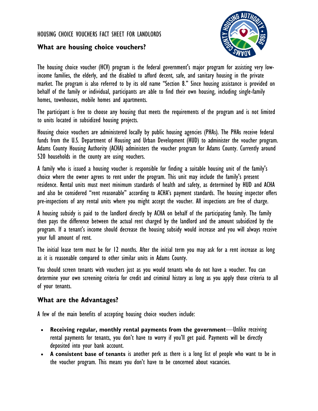#### HOUSING CHOICE VOUCHERS FACT SHEET FOR LANDLORDS



### **What are housing choice vouchers?**

The housing choice voucher (HCV) program is the federal government's major program for assisting very lowincome families, the elderly, and the disabled to afford decent, safe, and sanitary housing in the private market. The program is also referred to by its old name "Section 8." Since housing assistance is provided on behalf of the family or individual, participants are able to find their own housing, including single-family homes, townhouses, mobile homes and apartments.

The participant is free to choose any housing that meets the requirements of the program and is not limited to units located in subsidized housing projects.

Housing choice vouchers are administered locally by public housing agencies (PHAs). The PHAs receive federal funds from the U.S. Department of Housing and Urban Development (HUD) to administer the voucher program. Adams County Housing Authority (ACHA) administers the voucher program for Adams County. Currently around 520 households in the county are using vouchers.

A family who is issued a housing voucher is responsible for finding a suitable housing unit of the family's choice where the owner agrees to rent under the program. This unit may include the family's present residence. Rental units must meet minimum standards of health and safety, as determined by HUD and ACHA and also be considered "rent reasonable" according to ACHA's payment standards. The housing inspector offers pre-inspections of any rental units where you might accept the voucher. All inspections are free of charge.

A housing subsidy is paid to the landlord directly by ACHA on behalf of the participating family. The family then pays the difference between the actual rent charged by the landlord and the amount subsidized by the program. If a tenant's income should decrease the housing subsidy would increase and you will always receive your full amount of rent.

The initial lease term must be for 12 months. After the initial term you may ask for a rent increase as long as it is reasonable compared to other similar units in Adams County.

You should screen tenants with vouchers just as you would tenants who do not have a voucher. You can determine your own screening criteria for credit and criminal history as long as you apply those criteria to all of your tenants.

## **What are the Advantages?**

A few of the main benefits of accepting housing choice vouchers include:

- **Receiving regular, monthly rental payments from the government—Unlike receiving** rental payments for tenants, you don't have to worry if you'll get paid. Payments will be directly deposited into your bank account.
- **A consistent base of tenants** is another perk as there is a long list of people who want to be in the voucher program. This means you don't have to be concerned about vacancies.